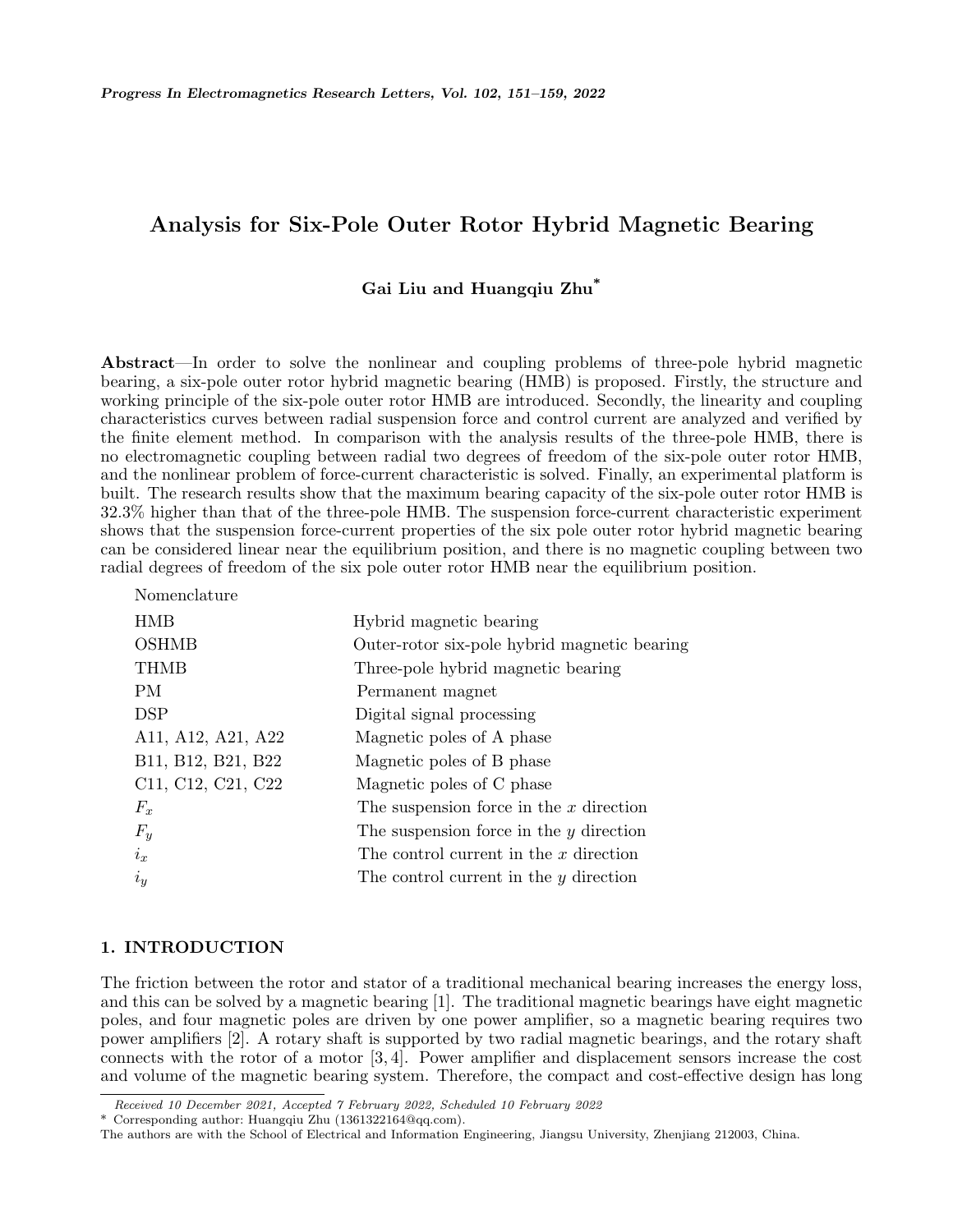# **Analysis for Six-Pole Outer Rotor Hybrid Magnetic Bearing**

# **Gai Liu and Huangqiu Zhu\***

**Abstract**—In order to solve the nonlinear and coupling problems of three-pole hybrid magnetic bearing, a six-pole outer rotor hybrid magnetic bearing (HMB) is proposed. Firstly, the structure and working principle of the six-pole outer rotor HMB are introduced. Secondly, the linearity and coupling characteristics curves between radial suspension force and control current are analyzed and verified by the finite element method. In comparison with the analysis results of the three-pole HMB, there is no electromagnetic coupling between radial two degrees of freedom of the six-pole outer rotor HMB, and the nonlinear problem of force-current characteristic is solved. Finally, an experimental platform is built. The research results show that the maximum bearing capacity of the six-pole outer rotor HMB is 32.3% higher than that of the three-pole HMB. The suspension force-current characteristic experiment shows that the suspension force-current properties of the six pole outer rotor hybrid magnetic bearing can be considered linear near the equilibrium position, and there is no magnetic coupling between two radial degrees of freedom of the six pole outer rotor HMB near the equilibrium position.

| Nomenclature       |                                              |
|--------------------|----------------------------------------------|
| <b>HMB</b>         | Hybrid magnetic bearing                      |
| <b>OSHMB</b>       | Outer-rotor six-pole hybrid magnetic bearing |
| THMB               | Three-pole hybrid magnetic bearing           |
| PM                 | Permanent magnet                             |
| <b>DSP</b>         | Digital signal processing                    |
| A11, A12, A21, A22 | Magnetic poles of A phase                    |
| B11, B12, B21, B22 | Magnetic poles of B phase                    |
| C11, C12, C21, C22 | Magnetic poles of C phase                    |
| $F_x$              | The suspension force in the $x$ direction    |
| $F_y$              | The suspension force in the $y$ direction    |
| $i_x$              | The control current in the $x$ direction     |
| $i_y$              | The control current in the $y$ direction     |
|                    |                                              |

### **1. INTRODUCTION**

The friction between the rotor and stator of a traditional mechanical bearing increases the energy loss, and this can be solved by a magnetic bearing [1]. The traditional magnetic bearings have eight magnetic poles, and four magnetic poles are driven by one power amplifier, so a magnetic bearing requires two power amplifiers [2]. A rotary shaft is supported by two radial magnetic bearings, and the rotary shaft connects with the rotor of a motor [3, 4]. Power amplifier and displacement sensors increase the cost and volume of the magnetic bearing system. Therefore, the compact and cost-effective design has long

*Received 10 December 2021, Accepted 7 February 2022, Scheduled 10 February 2022*

<sup>\*</sup> Corresponding author: Huangqiu Zhu (1361322164@qq.com).

The authors are with the School of Electrical and Information Engineering, Jiangsu University, Zhenjiang 212003, China.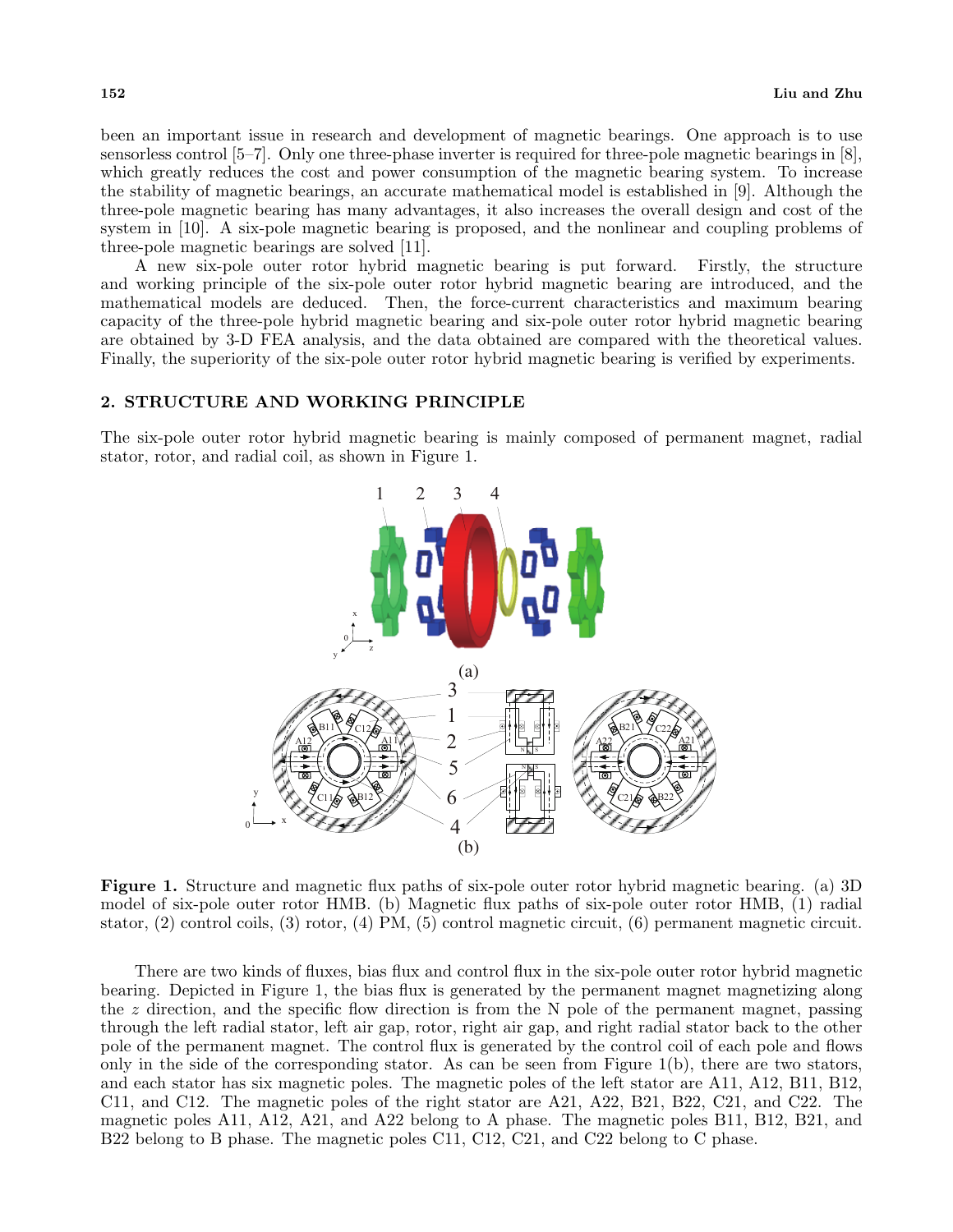been an important issue in research and development of magnetic bearings. One approach is to use sensorless control [5–7]. Only one three-phase inverter is required for three-pole magnetic bearings in [8], which greatly reduces the cost and power consumption of the magnetic bearing system. To increase the stability of magnetic bearings, an accurate mathematical model is established in [9]. Although the three-pole magnetic bearing has many advantages, it also increases the overall design and cost of the system in [10]. A six-pole magnetic bearing is proposed, and the nonlinear and coupling problems of three-pole magnetic bearings are solved [11].

A new six-pole outer rotor hybrid magnetic bearing is put forward. Firstly, the structure and working principle of the six-pole outer rotor hybrid magnetic bearing are introduced, and the mathematical models are deduced. Then, the force-current characteristics and maximum bearing capacity of the three-pole hybrid magnetic bearing and six-pole outer rotor hybrid magnetic bearing are obtained by 3-D FEA analysis, and the data obtained are compared with the theoretical values. Finally, the superiority of the six-pole outer rotor hybrid magnetic bearing is verified by experiments.

### **2. STRUCTURE AND WORKING PRINCIPLE**

The six-pole outer rotor hybrid magnetic bearing is mainly composed of permanent magnet, radial stator, rotor, and radial coil, as shown in Figure 1.



**Figure 1.** Structure and magnetic flux paths of six-pole outer rotor hybrid magnetic bearing. (a) 3D model of six-pole outer rotor HMB. (b) Magnetic flux paths of six-pole outer rotor HMB, (1) radial stator, (2) control coils, (3) rotor, (4) PM, (5) control magnetic circuit, (6) permanent magnetic circuit.

There are two kinds of fluxes, bias flux and control flux in the six-pole outer rotor hybrid magnetic bearing. Depicted in Figure 1, the bias flux is generated by the permanent magnet magnetizing along the *z* direction, and the specific flow direction is from the N pole of the permanent magnet, passing through the left radial stator, left air gap, rotor, right air gap, and right radial stator back to the other pole of the permanent magnet. The control flux is generated by the control coil of each pole and flows only in the side of the corresponding stator. As can be seen from Figure 1(b), there are two stators, and each stator has six magnetic poles. The magnetic poles of the left stator are A11, A12, B11, B12, C11, and C12. The magnetic poles of the right stator are A21, A22, B21, B22, C21, and C22. The magnetic poles A11, A12, A21, and A22 belong to A phase. The magnetic poles B11, B12, B21, and B22 belong to B phase. The magnetic poles C11, C12, C21, and C22 belong to C phase.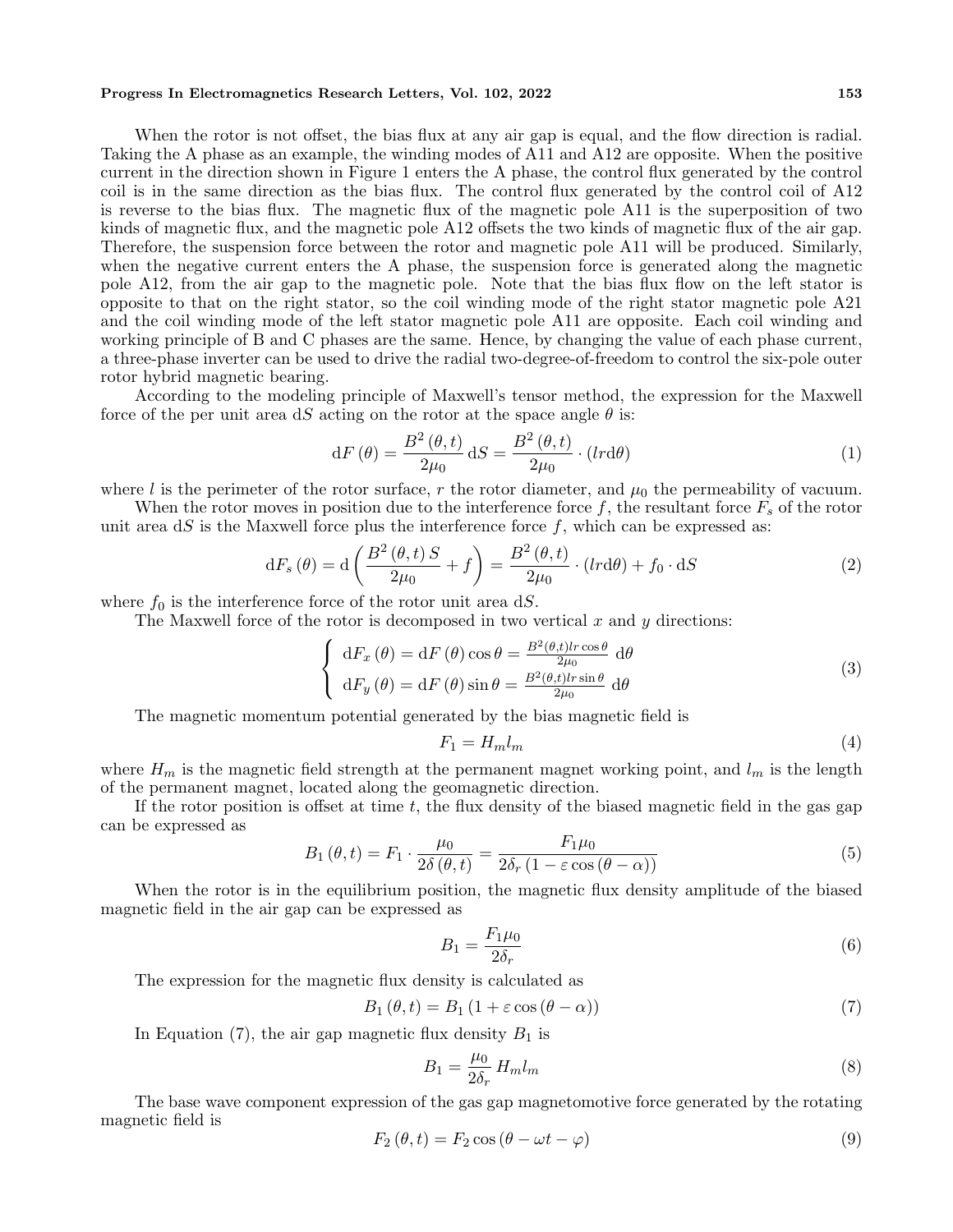#### **Progress In Electromagnetics Research Letters, Vol. 102, 2022 153**

When the rotor is not offset, the bias flux at any air gap is equal, and the flow direction is radial. Taking the A phase as an example, the winding modes of A11 and A12 are opposite. When the positive current in the direction shown in Figure 1 enters the A phase, the control flux generated by the control coil is in the same direction as the bias flux. The control flux generated by the control coil of A12 is reverse to the bias flux. The magnetic flux of the magnetic pole A11 is the superposition of two kinds of magnetic flux, and the magnetic pole A12 offsets the two kinds of magnetic flux of the air gap. Therefore, the suspension force between the rotor and magnetic pole A11 will be produced. Similarly, when the negative current enters the A phase, the suspension force is generated along the magnetic pole A12, from the air gap to the magnetic pole. Note that the bias flux flow on the left stator is opposite to that on the right stator, so the coil winding mode of the right stator magnetic pole A21 and the coil winding mode of the left stator magnetic pole A11 are opposite. Each coil winding and working principle of B and C phases are the same. Hence, by changing the value of each phase current, a three-phase inverter can be used to drive the radial two-degree-of-freedom to control the six-pole outer rotor hybrid magnetic bearing.

According to the modeling principle of Maxwell's tensor method, the expression for the Maxwell force of the per unit area d*S* acting on the rotor at the space angle  $\theta$  is:

$$
dF(\theta) = \frac{B^2(\theta, t)}{2\mu_0} dS = \frac{B^2(\theta, t)}{2\mu_0} \cdot (lrd\theta)
$$
\n(1)

where *l* is the perimeter of the rotor surface,  $r$  the rotor diameter, and  $\mu_0$  the permeability of vacuum.

When the rotor moves in position due to the interference force  $f$ , the resultant force  $F_s$  of the rotor unit area  $dS$  is the Maxwell force plus the interference force  $f$ , which can be expressed as:

$$
dF_s(\theta) = d\left(\frac{B^2(\theta, t) S}{2\mu_0} + f\right) = \frac{B^2(\theta, t)}{2\mu_0} \cdot (lrd\theta) + f_0 \cdot dS
$$
 (2)

where  $f_0$  is the interference force of the rotor unit area  $dS$ .

The Maxwell force of the rotor is decomposed in two vertical *x* and *y* directions:

$$
\begin{cases}\n\mathrm{d}F_x(\theta) = \mathrm{d}F(\theta)\cos\theta = \frac{B^2(\theta, t)lr\cos\theta}{2\mu_0} \,\mathrm{d}\theta \\
\mathrm{d}F_y(\theta) = \mathrm{d}F(\theta)\sin\theta = \frac{B^2(\theta, t)lr\sin\theta}{2\mu_0} \,\mathrm{d}\theta\n\end{cases}
$$
\n(3)

The magnetic momentum potential generated by the bias magnetic field is

$$
F_1 = H_m l_m \tag{4}
$$

where  $H_m$  is the magnetic field strength at the permanent magnet working point, and  $l_m$  is the length of the permanent magnet, located along the geomagnetic direction.

If the rotor position is offset at time *t*, the flux density of the biased magnetic field in the gas gap can be expressed as

$$
B_1(\theta, t) = F_1 \cdot \frac{\mu_0}{2\delta(\theta, t)} = \frac{F_1 \mu_0}{2\delta_r (1 - \varepsilon \cos(\theta - \alpha))}
$$
(5)

When the rotor is in the equilibrium position, the magnetic flux density amplitude of the biased magnetic field in the air gap can be expressed as

$$
B_1 = \frac{F_1 \mu_0}{2\delta_r} \tag{6}
$$

The expression for the magnetic flux density is calculated as

$$
B_1(\theta, t) = B_1(1 + \varepsilon \cos(\theta - \alpha))
$$
\n(7)

In Equation  $(7)$ , the air gap magnetic flux density  $B_1$  is

$$
B_1 = \frac{\mu_0}{2\delta_r} H_m l_m \tag{8}
$$

The base wave component expression of the gas gap magnetomotive force generated by the rotating magnetic field is

$$
F_2(\theta, t) = F_2 \cos(\theta - \omega t - \varphi)
$$
\n(9)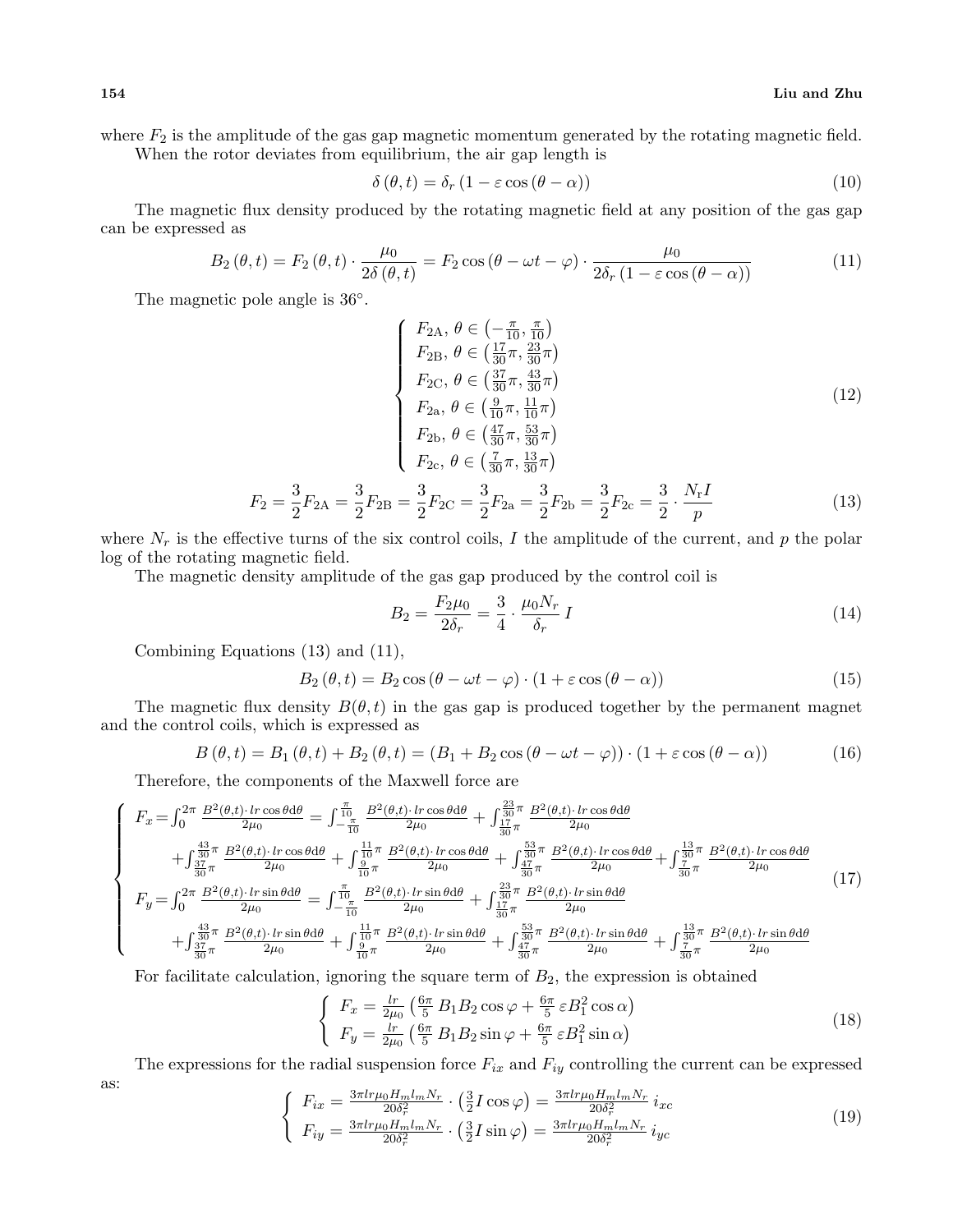where  $F_2$  is the amplitude of the gas gap magnetic momentum generated by the rotating magnetic field. When the rotor deviates from equilibrium, the air gap length is

$$
\delta(\theta, t) = \delta_r (1 - \varepsilon \cos(\theta - \alpha))
$$
\n(10)

The magnetic flux density produced by the rotating magnetic field at any position of the gas gap can be expressed as

$$
B_2(\theta, t) = F_2(\theta, t) \cdot \frac{\mu_0}{2\delta(\theta, t)} = F_2 \cos(\theta - \omega t - \varphi) \cdot \frac{\mu_0}{2\delta_r (1 - \varepsilon \cos(\theta - \alpha))}
$$
(11)

The magnetic pole angle is 36*◦* .

$$
\begin{cases}\nF_{2A}, \ \theta \in \left(-\frac{\pi}{10}, \frac{\pi}{10}\right) \\
F_{2B}, \ \theta \in \left(\frac{17}{30}\pi, \frac{23}{30}\pi\right) \\
F_{2C}, \ \theta \in \left(\frac{37}{30}\pi, \frac{43}{30}\pi\right) \\
F_{2a}, \ \theta \in \left(\frac{9}{10}\pi, \frac{11}{10}\pi\right) \\
F_{2b}, \ \theta \in \left(\frac{47}{30}\pi, \frac{53}{30}\pi\right) \\
F_{2c}, \ \theta \in \left(\frac{7}{30}\pi, \frac{13}{30}\pi\right) \\
3 & 3 & 3 & 3\n\end{cases} (12)
$$

$$
F_2 = \frac{3}{2}F_{2A} = \frac{3}{2}F_{2B} = \frac{3}{2}F_{2C} = \frac{3}{2}F_{2a} = \frac{3}{2}F_{2b} = \frac{3}{2}F_{2c} = \frac{3}{2} \cdot \frac{N_r I}{p}
$$
(13)

where  $N_r$  is the effective turns of the six control coils,  $I$  the amplitude of the current, and  $p$  the polar log of the rotating magnetic field.

The magnetic density amplitude of the gas gap produced by the control coil is

$$
B_2 = \frac{F_2 \mu_0}{2\delta_r} = \frac{3}{4} \cdot \frac{\mu_0 N_r}{\delta_r} I
$$
\n(14)

Combining Equations (13) and (11),

$$
B_2(\theta, t) = B_2 \cos(\theta - \omega t - \varphi) \cdot (1 + \varepsilon \cos(\theta - \alpha))
$$
\n(15)

The magnetic flux density  $B(\theta, t)$  in the gas gap is produced together by the permanent magnet and the control coils, which is expressed as

$$
B(\theta, t) = B_1(\theta, t) + B_2(\theta, t) = (B_1 + B_2 \cos(\theta - \omega t - \varphi)) \cdot (1 + \varepsilon \cos(\theta - \alpha)) \tag{16}
$$

Therefore, the components of the Maxwell force are

$$
\begin{cases}\nF_x = \int_0^{2\pi} \frac{B^2(\theta, t) \cdot lr \cos\theta d\theta}{2\mu_0} = \int_{-\frac{\pi}{10}}^{\frac{\pi}{10}} \frac{B^2(\theta, t) \cdot lr \cos\theta d\theta}{2\mu_0} + \int_{\frac{17}{30}\pi}^{\frac{23}{30}\pi} \frac{B^2(\theta, t) \cdot lr \cos\theta d\theta}{2\mu_0} \\
+ \int_{\frac{37}{30}\pi}^{\frac{43}{30}\pi} \frac{B^2(\theta, t) \cdot lr \cos\theta d\theta}{2\mu_0} + \int_{\frac{10}{10}\pi}^{\frac{11}{30}\pi} \frac{B^2(\theta, t) \cdot lr \cos\theta d\theta}{2\mu_0} + \int_{\frac{47}{30}\pi}^{\frac{53}{30}\pi} \frac{B^2(\theta, t) \cdot lr \cos\theta d\theta}{2\mu_0} + \int_{\frac{7}{30}\pi}^{\frac{13}{30}\pi} \frac{B^2(\theta, t) \cdot lr \cos\theta d\theta}{2\mu_0} \\
F_y = \int_0^{2\pi} \frac{B^2(\theta, t) \cdot lr \sin\theta d\theta}{2\mu_0} = \int_{-\frac{\pi}{10}}^{\frac{\pi}{10}} \frac{B^2(\theta, t) \cdot lr \sin\theta d\theta}{2\mu_0} + \int_{\frac{37}{30}\pi}^{\frac{33}{30}\pi} \frac{B^2(\theta, t) \cdot lr \sin\theta d\theta}{2\mu_0} \\
+ \int_{\frac{33}{30}\pi}^{\frac{33}{30}\pi} \frac{B^2(\theta, t) \cdot lr \sin\theta d\theta}{2\mu_0} + \int_{\frac{9}{10}\pi}^{\frac{11}{30}\pi} \frac{B^2(\theta, t) \cdot lr \sin\theta d\theta}{2\mu_0} + \int_{\frac{47}{30}\pi}^{\frac{53}{30}\pi} \frac{B^2(\theta, t) \cdot lr \sin\theta d\theta}{2\mu_0} + \int_{\frac{7}{30}\pi}^{\frac{13}{30}\pi} \frac{B^2(\theta, t) \cdot lr \sin\theta d\theta}{2\mu_0} \\
&\quad + \int_{\frac{37}{30}\pi}^{\frac{37}{
$$

For facilitate calculation, ignoring the square term of *B*2, the expression is obtained

$$
\begin{cases}\nF_x = \frac{lr}{2\mu_0} \left( \frac{6\pi}{5} B_1 B_2 \cos \varphi + \frac{6\pi}{5} \varepsilon B_1^2 \cos \alpha \right) \\
F_y = \frac{lr}{2\mu_0} \left( \frac{6\pi}{5} B_1 B_2 \sin \varphi + \frac{6\pi}{5} \varepsilon B_1^2 \sin \alpha \right)\n\end{cases} \tag{18}
$$

The expressions for the radial suspension force  $F_{ix}$  and  $F_{iy}$  controlling the current can be expressed as:  $3\pi$ lnu*H*  $H$   $N$  $2\pi$ ln $\mu$ *H*  $\mu$  *N* 

$$
\begin{cases}\nF_{ix} = \frac{3\pi lr\mu_0 H_m l_m N_r}{20\delta_r^2} \cdot \left(\frac{3}{2}I\cos\varphi\right) = \frac{3\pi lr\mu_0 H_m l_m N_r}{20\delta_r^2} i_{xc} \\
F_{iy} = \frac{3\pi lr\mu_0 H_m l_m N_r}{20\delta_r^2} \cdot \left(\frac{3}{2}I\sin\varphi\right) = \frac{3\pi lr\mu_0 H_m l_m N_r}{20\delta_r^2} i_{yc}\n\end{cases} (19)
$$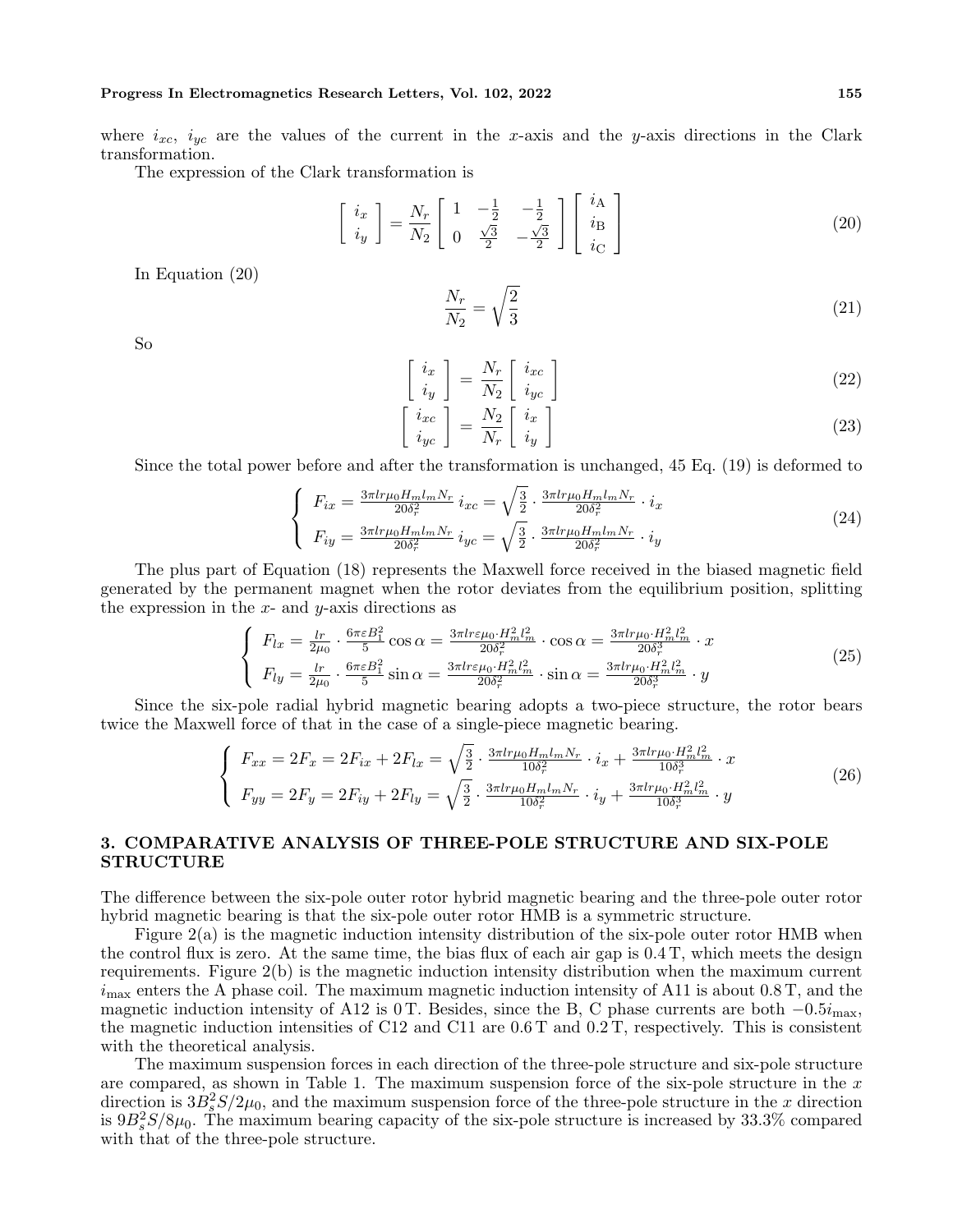#### **Progress In Electromagnetics Research Letters, Vol. 102, 2022 155**

where  $i_{xc}$ ,  $i_{yc}$  are the values of the current in the *x*-axis and the *y*-axis directions in the Clark transformation.

The expression of the Clark transformation is

$$
\begin{bmatrix}\n i_x \\
 i_y\n\end{bmatrix} = \frac{N_r}{N_2} \begin{bmatrix}\n 1 & -\frac{1}{2} & -\frac{1}{2} \\
 0 & \frac{\sqrt{3}}{2} & -\frac{\sqrt{3}}{2}\n\end{bmatrix} \begin{bmatrix}\n i_A \\
 i_B \\
 i_C\n\end{bmatrix} \tag{20}
$$

In Equation (20)

$$
\frac{N_r}{N_2} = \sqrt{\frac{2}{3}}\tag{21}
$$

So

$$
\begin{bmatrix} i_x \\ i_y \end{bmatrix} = \frac{N_r}{N_2} \begin{bmatrix} i_{xc} \\ i_{yc} \end{bmatrix}
$$
 (22)

$$
\begin{bmatrix} i_{xc} \\ i_{yc} \end{bmatrix} = \frac{N_2}{N_r} \begin{bmatrix} i_x \\ i_y \end{bmatrix}
$$
 (23)

Since the total power before and after the transformation is unchanged, 45 Eq. (19) is deformed to

$$
\begin{cases}\nF_{ix} = \frac{3\pi lr\mu_0 H_m l_m N_r}{20\delta_r^2} i_{xc} = \sqrt{\frac{3}{2}} \cdot \frac{3\pi lr\mu_0 H_m l_m N_r}{20\delta_r^2} \cdot i_x \\
F_{iy} = \frac{3\pi lr\mu_0 H_m l_m N_r}{20\delta_r^2} i_{yc} = \sqrt{\frac{3}{2}} \cdot \frac{3\pi lr\mu_0 H_m l_m N_r}{20\delta_r^2} \cdot i_y\n\end{cases} (24)
$$

The plus part of Equation (18) represents the Maxwell force received in the biased magnetic field generated by the permanent magnet when the rotor deviates from the equilibrium position, splitting the expression in the *x*- and *y*-axis directions as

$$
\begin{cases}\nF_{lx} = \frac{lr}{2\mu_0} \cdot \frac{6\pi \varepsilon B_1^2}{5} \cos \alpha = \frac{3\pi lr \varepsilon \mu_0 \cdot H_m^2 l_m^2}{20 \delta_r^2} \cdot \cos \alpha = \frac{3\pi l r \mu_0 \cdot H_m^2 l_m^2}{20 \delta_r^3} \cdot x \\
F_{ly} = \frac{lr}{2\mu_0} \cdot \frac{6\pi \varepsilon B_1^2}{5} \sin \alpha = \frac{3\pi l r \varepsilon \mu_0 \cdot H_m^2 l_m^2}{20 \delta_r^2} \cdot \sin \alpha = \frac{3\pi l r \mu_0 \cdot H_m^2 l_m^2}{20 \delta_r^3} \cdot y\n\end{cases} \tag{25}
$$

Since the six-pole radial hybrid magnetic bearing adopts a two-piece structure, the rotor bears twice the Maxwell force of that in the case of a single-piece magnetic bearing.

$$
\begin{cases}\nF_{xx} = 2F_x = 2F_{ix} + 2F_{lx} = \sqrt{\frac{3}{2}} \cdot \frac{3\pi lr\mu_0 H_m l_m N_r}{10\delta_r^2} \cdot i_x + \frac{3\pi l r\mu_0 \cdot H_m^2 l_m^2}{10\delta_r^3} \cdot x \\
F_{yy} = 2F_y = 2F_{iy} + 2F_{ly} = \sqrt{\frac{3}{2}} \cdot \frac{3\pi l r\mu_0 H_m l_m N_r}{10\delta_r^2} \cdot i_y + \frac{3\pi l r\mu_0 \cdot H_m^2 l_m^2}{10\delta_r^3} \cdot y\n\end{cases} (26)
$$

# **3. COMPARATIVE ANALYSIS OF THREE-POLE STRUCTURE AND SIX-POLE STRUCTURE**

The difference between the six-pole outer rotor hybrid magnetic bearing and the three-pole outer rotor hybrid magnetic bearing is that the six-pole outer rotor HMB is a symmetric structure.

Figure 2(a) is the magnetic induction intensity distribution of the six-pole outer rotor HMB when the control flux is zero. At the same time, the bias flux of each air gap is 0.4 T, which meets the design requirements. Figure 2(b) is the magnetic induction intensity distribution when the maximum current  $i_{\text{max}}$  enters the A phase coil. The maximum magnetic induction intensity of A11 is about 0.8 T, and the magnetic induction intensity of A12 is 0 T. Besides, since the B, C phase currents are both *−*0*.*5*i*max, the magnetic induction intensities of C12 and C11 are 0.6 T and 0.2 T, respectively. This is consistent with the theoretical analysis.

The maximum suspension forces in each direction of the three-pole structure and six-pole structure are compared, as shown in Table 1. The maximum suspension force of the six-pole structure in the *x* direction is  $3B_s^2S/2\mu_0$ , and the maximum suspension force of the three-pole structure in the *x* direction is  $9B_s^2S/8\mu_0$ . The maximum bearing capacity of the six-pole structure is increased by 33.3% compared with that of the three-pole structure.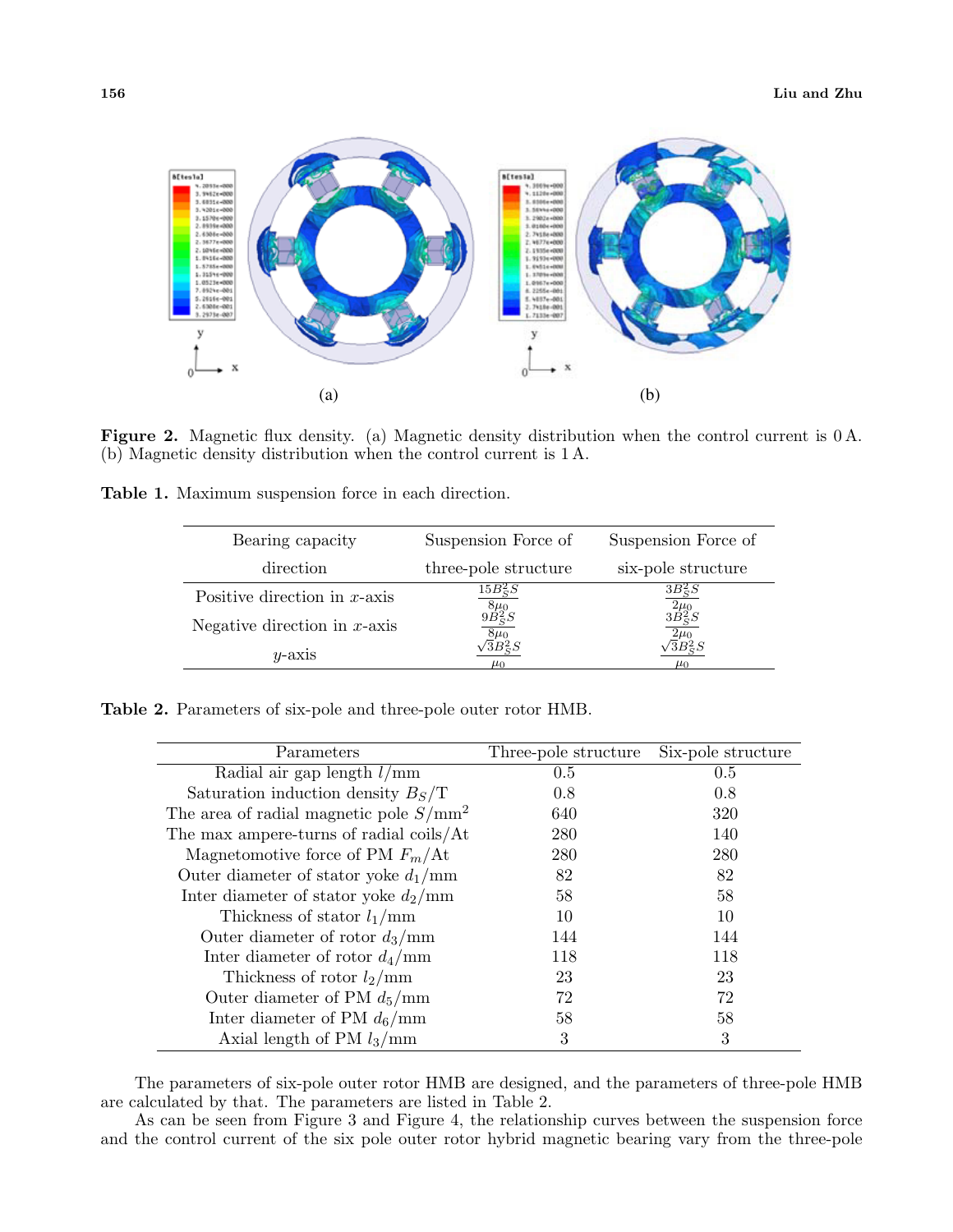

**Figure 2.** Magnetic flux density. (a) Magnetic density distribution when the control current is 0 A. (b) Magnetic density distribution when the control current is 1 A.

|  |  | Table 1. Maximum suspension force in each direction. |  |  |  |
|--|--|------------------------------------------------------|--|--|--|
|--|--|------------------------------------------------------|--|--|--|

| Bearing capacity                | Suspension Force of                 | Suspension Force of                 |
|---------------------------------|-------------------------------------|-------------------------------------|
| direction                       | three-pole structure                | six-pole structure                  |
| Positive direction in $x$ -axis | $15B_S^2S$                          | $3B_S^2S$                           |
| Negative direction in $x$ -axis | $\frac{8\mu_0}{9B_S^2S}$            | $\frac{\overline{2\mu_0}}{3B_S^2S}$ |
| $y$ -axis                       | $\frac{8\mu_0}{3B_S^2S}$<br>$\mu_0$ | $\mu_0$                             |

**Table 2.** Parameters of six-pole and three-pole outer rotor HMB.

| Parameters                                       | Three-pole structure | Six-pole structure |
|--------------------------------------------------|----------------------|--------------------|
| Radial air gap length $l/mm$                     | 0.5                  | 0.5                |
| Saturation induction density $B_s/T$             | 0.8                  | 0.8                |
| The area of radial magnetic pole $S/\text{mm}^2$ | 640                  | 320                |
| The max ampere-turns of radial coils/At          | 280                  | 140                |
| Magnetomotive force of PM $F_m/\text{At}$        | 280                  | 280                |
| Outer diameter of stator yoke $d_1/mm$           | 82                   | 82                 |
| Inter diameter of stator yoke $d_2/mm$           | 58                   | 58                 |
| Thickness of stator $l_1/mm$                     | 10                   | 10                 |
| Outer diameter of rotor $d_3/\text{mm}$          | 144                  | 144                |
| Inter diameter of rotor $d_4/\text{mm}$          | 118                  | 118                |
| Thickness of rotor $l_2/\text{mm}$               | 23                   | 23                 |
| Outer diameter of PM $d_5/\text{mm}$             | 72                   | 72                 |
| Inter diameter of PM $d_6/\text{mm}$             | 58                   | 58                 |
| Axial length of PM $l_3/\text{mm}$               | 3                    | 3                  |

The parameters of six-pole outer rotor HMB are designed, and the parameters of three-pole HMB are calculated by that. The parameters are listed in Table 2.

As can be seen from Figure 3 and Figure 4, the relationship curves between the suspension force and the control current of the six pole outer rotor hybrid magnetic bearing vary from the three-pole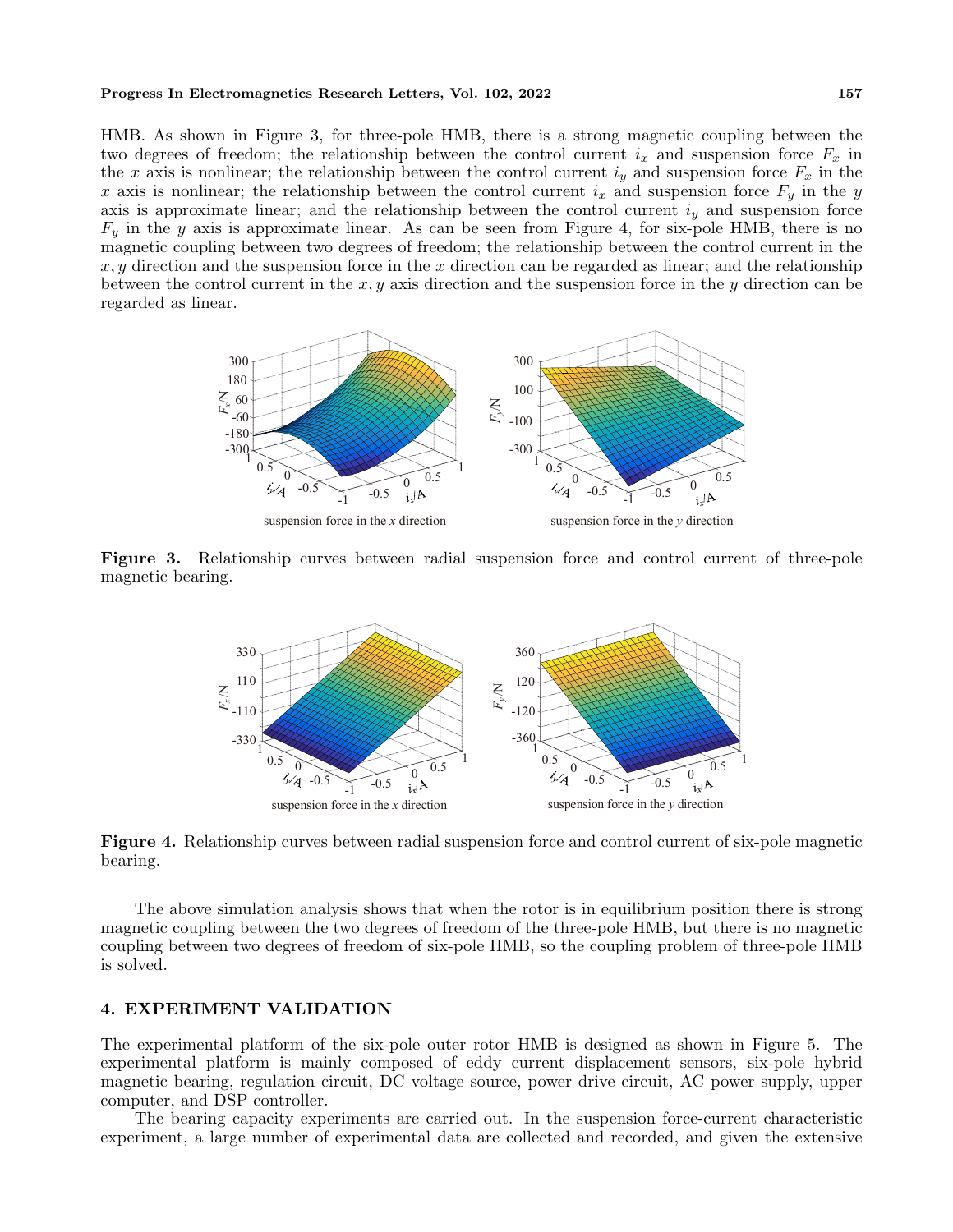#### **Progress In Electromagnetics Research Letters, Vol. 102, 2022 157**

HMB. As shown in Figure 3, for three-pole HMB, there is a strong magnetic coupling between the two degrees of freedom; the relationship between the control current  $i_x$  and suspension force  $F_x$  in the *x* axis is nonlinear; the relationship between the control current  $i_y$  and suspension force  $F_x$  in the *x* axis is nonlinear; the relationship between the control current  $i_x$  and suspension force  $F_y$  in the *y* axis is approximate linear; and the relationship between the control current *i<sup>y</sup>* and suspension force  $F_y$  in the *y* axis is approximate linear. As can be seen from Figure 4, for six-pole HMB, there is no magnetic coupling between two degrees of freedom; the relationship between the control current in the *x, y* direction and the suspension force in the *x* direction can be regarded as linear; and the relationship between the control current in the *x, y* axis direction and the suspension force in the *y* direction can be regarded as linear.



**Figure 3.** Relationship curves between radial suspension force and control current of three-pole magnetic bearing.



**Figure 4.** Relationship curves between radial suspension force and control current of six-pole magnetic bearing.

The above simulation analysis shows that when the rotor is in equilibrium position there is strong magnetic coupling between the two degrees of freedom of the three-pole HMB, but there is no magnetic coupling between two degrees of freedom of six-pole HMB, so the coupling problem of three-pole HMB is solved.

### **4. EXPERIMENT VALIDATION**

The experimental platform of the six-pole outer rotor HMB is designed as shown in Figure 5. The experimental platform is mainly composed of eddy current displacement sensors, six-pole hybrid magnetic bearing, regulation circuit, DC voltage source, power drive circuit, AC power supply, upper computer, and DSP controller.

The bearing capacity experiments are carried out. In the suspension force-current characteristic experiment, a large number of experimental data are collected and recorded, and given the extensive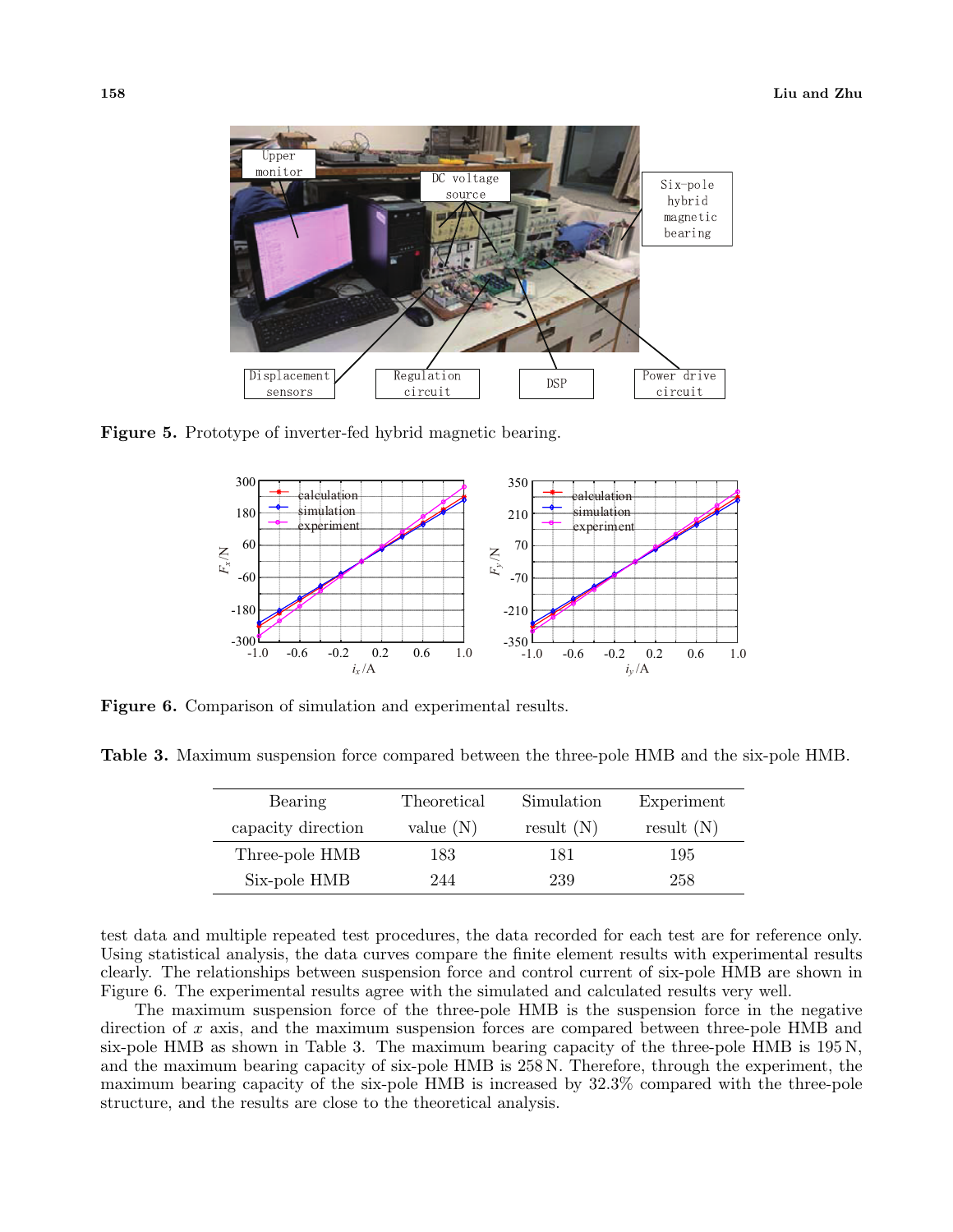

**Figure 5.** Prototype of inverter-fed hybrid magnetic bearing.



**Figure 6.** Comparison of simulation and experimental results.

| Bearing            | Theoretical | Simulation   | Experiment   |
|--------------------|-------------|--------------|--------------|
| capacity direction | value $(N)$ | result $(N)$ | result $(N)$ |
| Three-pole HMB     | 183         | 181          | 195          |
| Six-pole HMB       | 244         | 239          | 258          |

test data and multiple repeated test procedures, the data recorded for each test are for reference only. Using statistical analysis, the data curves compare the finite element results with experimental results clearly. The relationships between suspension force and control current of six-pole HMB are shown in Figure 6. The experimental results agree with the simulated and calculated results very well.

The maximum suspension force of the three-pole HMB is the suspension force in the negative direction of x axis, and the maximum suspension forces are compared between three-pole HMB and six-pole HMB as shown in Table 3. The maximum bearing capacity of the three-pole HMB is 195 N, and the maximum bearing capacity of six-pole HMB is 258 N. Therefore, through the experiment, the maximum bearing capacity of the six-pole HMB is increased by 32.3% compared with the three-pole structure, and the results are close to the theoretical analysis.